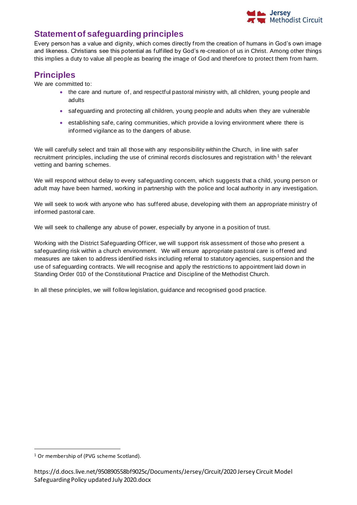

## **Statement of safeguarding principles**

Every person has a value and dignity, which comes directly from the creation of humans in God's own image and likeness. Christians see this potential as fulfilled by God's re-creation of us in Christ. Among other things this implies a duty to value all people as bearing the image of God and therefore to protect them from harm.

## **Principles**

We are committed to:

- the care and nurture of, and respectful pastoral ministry with, all children, young people and adults
- safeguarding and protecting all children, young people and adults when they are vulnerable
- establishing safe, caring communities, which provide a loving environment where there is informed vigilance as to the dangers of abuse.

We will carefully select and train all those with any responsibility within the Church, in line with safer recruitment principles, including the use of criminal records disclosures and registration with<sup>1</sup> the relevant vetting and barring schemes.

We will respond without delay to every safeguarding concern, which suggests that a child, young person or adult may have been harmed, working in partnership with the police and local authority in any investigation.

We will seek to work with anyone who has suffered abuse, developing with them an appropriate ministry of informed pastoral care.

We will seek to challenge any abuse of power, especially by anyone in a position of trust.

Working with the District Safeguarding Officer, we will support risk assessment of those who present a safeguarding risk within a church environment. We will ensure appropriate pastoral care is offered and measures are taken to address identified risks including referral to statutory agencies, suspension and the use of safeguarding contracts. We will recognise and apply the restrictions to appointment laid down in Standing Order 010 of the Constitutional Practice and Discipline of the Methodist Church.

In all these principles, we will follow legislation, guidance and recognised good practice.

<sup>&</sup>lt;sup>1</sup> Or membership of (PVG scheme Scotland).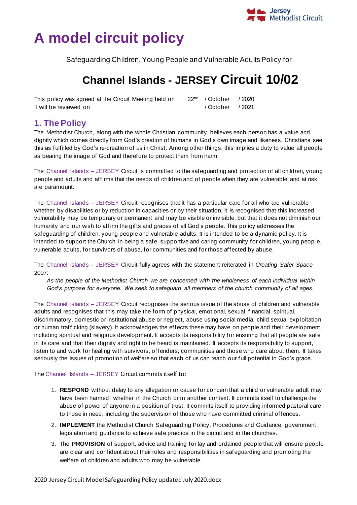# **A model circuit policy**

Safeguarding Children, Young People and Vulnerable Adults Policy for

## **Channel Islands - JERSEY Circuit 10/02**

This policy was agreed at the Circuit Meeting held on  $22<sup>nd</sup>$  / October / 2020 It will be reviewed on / October / 2021

## **1. The Policy**

The Methodist Church, along with the whole Christian community, believes each person has a value and dignity which comes directly from God's creation of humans in God's own image and likeness. Christians see this as fulfilled by God's re-creation of us in Christ. Among other things, this implies a duty to value all people as bearing the image of God and therefore to protect them from harm.

The Channel Islands – JERSEY Circuit is committed to the safeguarding and protection of all children, young people and adults and affirms that the needs of children and of people when they are vulnerable and at risk are paramount.

The Channel Islands – JERSEY Circuit recognises that it has a particular care for all who are vulnerable whether by disabilities or by reduction in capacities or by their situation. It is recognised that this increased vulnerability may be temporary or permanent and may be visible or invisible, but that it does not diminish our humanity and our wish to affirm the gifts and graces of all God's people. This policy addresses the safeguarding of children, young people and vulnerable adults. It is intended to be a dynamic policy. It is intended to support the Church in being a safe, supportive and caring community for children, young peop le, vulnerable adults, for survivors of abuse, for communities and for those affected by abuse.

The Channel Islands – JERSEY Circuit fully agrees with the statement reiterated in *Creating Safer Space*  2007:

*As the people of the Methodist Church we are concerned with the wholeness of each individual within God's purpose for everyone. We seek to safeguard all members of the church community of all ages.* 

The Channel Islands – JERSEY Circuit recognises the serious issue of the abuse of children and vulnerable adults and recognises that this may take the form of physical, emotional, sexual, financial, spiritual, discriminatory, domestic or institutional abuse or neglect, abuse using social media, child sexual exp loitation or human trafficking (slavery). It acknowledges the effects these may have on people and their development, including spiritual and religious development. It accepts its responsibility for ensuring that all people are safe in its care and that their dignity and right to be heard is maintained. It accepts its responsibility to support, listen to and work for healing with survivors, offenders, communities and those who care about them. It takes seriously the issues of promotion of welfare so that each of us can reach our full potential in God's grace.

#### The Channel Islands – JERSEY Circuit commits itself to:

- 1. **RESPOND** without delay to any allegation or cause for concern that a child or vulnerable adult may have been harmed, whether in the Church or in another context. It commits itself to challenge the abuse of power of anyone in a position of trust. It commits itself to providing informed pastoral care to those in need, including the supervision of those who have committed criminal offences.
- 2. **IMPLEMENT** the Methodist Church Safeguarding Policy, Procedures and Guidance, government legislation and guidance to achieve safe practice in the circuit and in the churches.
- 3. The **PROVISION** of support, advice and training for lay and ordained people that will ensure people are clear and confident about their roles and responsibilities in safeguarding and promoting the welfare of children and adults who may be vulnerable.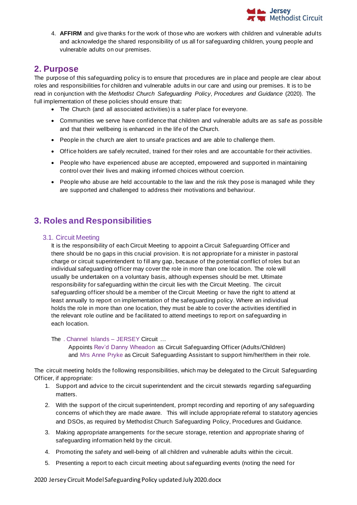

4. **AFFIRM** and give thanks for the work of those who are workers with children and vulnerable adults and acknowledge the shared responsibility of us all for safeguarding children, young people and vulnerable adults on our premises.

## **2. Purpose**

The purpose of this safeguarding policy is to ensure that procedures are in place and people are clear about roles and responsibilities for children and vulnerable adults in our care and using our premises. It is to be read in conjunction with the *Methodist Church Safeguarding Policy, Procedures and Guidance* (2020). The full implementation of these policies should ensure that**:**

- The Church (and all associated activities) is a safer place for everyone.
- Communities we serve have confidence that children and vulnerable adults are as safe as possible and that their wellbeing is enhanced in the life of the Church.
- People in the church are alert to unsafe practices and are able to challenge them.
- Office holders are safely recruited, trained for their roles and are accountable for their activities.
- People who have experienced abuse are accepted, empowered and supported in maintaining control over their lives and making informed choices without coercion.
- People who abuse are held accountable to the law and the risk they pose is managed while they are supported and challenged to address their motivations and behaviour.

## **3. Roles and Responsibilities**

#### 3.1. Circuit Meeting

It is the responsibility of each Circuit Meeting to appoint a Circuit Safeguarding Officer and there should be no gaps in this crucial provision. It is not appropriate for a minister in pastoral charge or circuit superintendent to fill any gap, because of the potential conflict of roles but an individual safeguarding officer may cover the role in more than one location. The role will usually be undertaken on a voluntary basis, although expenses should be met. Ultimate responsibility for safeguarding within the circuit lies with the Circuit Meeting. The circuit safeguarding officer should be a member of the Circuit Meeting or have the right to attend at least annually to report on implementation of the safeguarding policy. Where an individual holds the role in more than one location, they must be able to cover the activities identified in the relevant role outline and be facilitated to attend meetings to rep ort on safeguarding in each location.

The . Channel Islands – JERSEY Circuit …

Appoints Rev'd Danny Wheadon as Circuit Safeguarding Officer (Adults/Children) and Mrs Anne Pryke as Circuit Safeguarding Assistant to support him/her/them in their role.

The circuit meeting holds the following responsibilities, which may be delegated to the Circuit Safeguarding Officer, if appropriate:

- 1. Support and advice to the circuit superintendent and the circuit stewards regarding safeguarding matters.
- 2. With the support of the circuit superintendent, prompt recording and reporting of any safeguarding concerns of which they are made aware. This will include appropriate referral to statutory agencies and DSOs, as required by Methodist Church Safeguarding Policy, Procedures and Guidance.
- 3. Making appropriate arrangements for the secure storage, retention and appropriate sharing of safeguarding information held by the circuit.
- 4. Promoting the safety and well-being of all children and vulnerable adults within the circuit.
- 5. Presenting a report to each circuit meeting about safeguarding events (noting the need for

2020 Jersey Circuit Model Safeguarding Policy updated July 2020.docx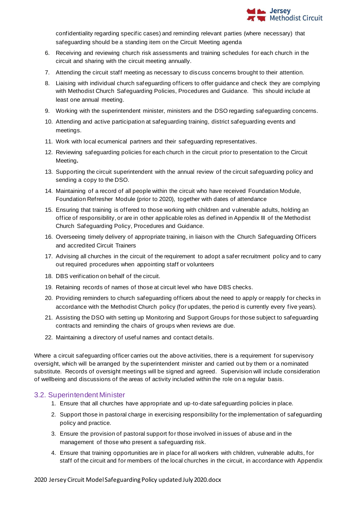

confidentiality regarding specific cases) and reminding relevant parties (where necessary) that safeguarding should be a standing item on the Circuit Meeting agenda

- 6. Receiving and reviewing church risk assessments and training schedules for each church in the circuit and sharing with the circuit meeting annually.
- 7. Attending the circuit staff meeting as necessary to discuss concerns brought to their attention.
- 8. Liaising with individual church safeguarding officers to offer guidance and check they are complying with Methodist Church Safeguarding Policies, Procedures and Guidance. This should include at least one annual meeting.
- 9. Working with the superintendent minister, ministers and the DSO regarding safeguarding concerns.
- 10. Attending and active participation at safeguarding training, district safeguarding events and meetings.
- 11. Work with local ecumenical partners and their safeguarding representatives.
- 12. Reviewing safeguarding policies for each church in the circuit prior to presentation to the Circuit Meeting*.*
- 13. Supporting the circuit superintendent with the annual review of the circuit safeguarding policy and sending a copy to the DSO.
- 14. Maintaining of a record of all people within the circuit who have received Foundation Module, Foundation Refresher Module (prior to 2020), together with dates of attendance
- 15. Ensuring that training is offered to those working with children and vulnerable adults, holding an office of responsibility, or are in other applicable roles as defined in Appendix III of the Methodist Church Safeguarding Policy, Procedures and Guidance.
- 16. Overseeing timely delivery of appropriate training, in liaison with the Church Safeguarding Officers and accredited Circuit Trainers
- 17. Advising all churches in the circuit of the requirement to adopt a safer recruitment policy and to carry out required procedures when appointing staff or volunteers
- 18. DBS verification on behalf of the circuit.
- 19. Retaining records of names of those at circuit level who have DBS checks.
- 20. Providing reminders to church safeguarding officers about the need to apply or reapply for checks in accordance with the Methodist Church policy (for updates, the perio d is currently every five years).
- 21. Assisting the DSO with setting up Monitoring and Support Groups for those subject to safeguarding contracts and reminding the chairs of groups when reviews are due.
- 22. Maintaining a directory of useful names and contact details.

Where a circuit safeguarding officer carries out the above activities, there is a requirement for supervisory oversight, which will be arranged by the superintendent minister and carried out by them or a nominated substitute. Records of oversight meetings will be signed and agreed. Supervision will include consideration of wellbeing and discussions of the areas of activity included within the role on a regular basis.

#### 3.2. Superintendent Minister

- 1. Ensure that all churches have appropriate and up-to-date safeguarding policies in place.
- 2. Support those in pastoral charge in exercising responsibility for the implementation of safeguarding policy and practice.
- 3. Ensure the provision of pastoral support for those involved in issues of abuse and in the management of those who present a safeguarding risk.
- 4. Ensure that training opportunities are in place for all workers with children, vulnerable adults, for staff of the circuit and for members of the local churches in the circuit, in accordance with Appendix